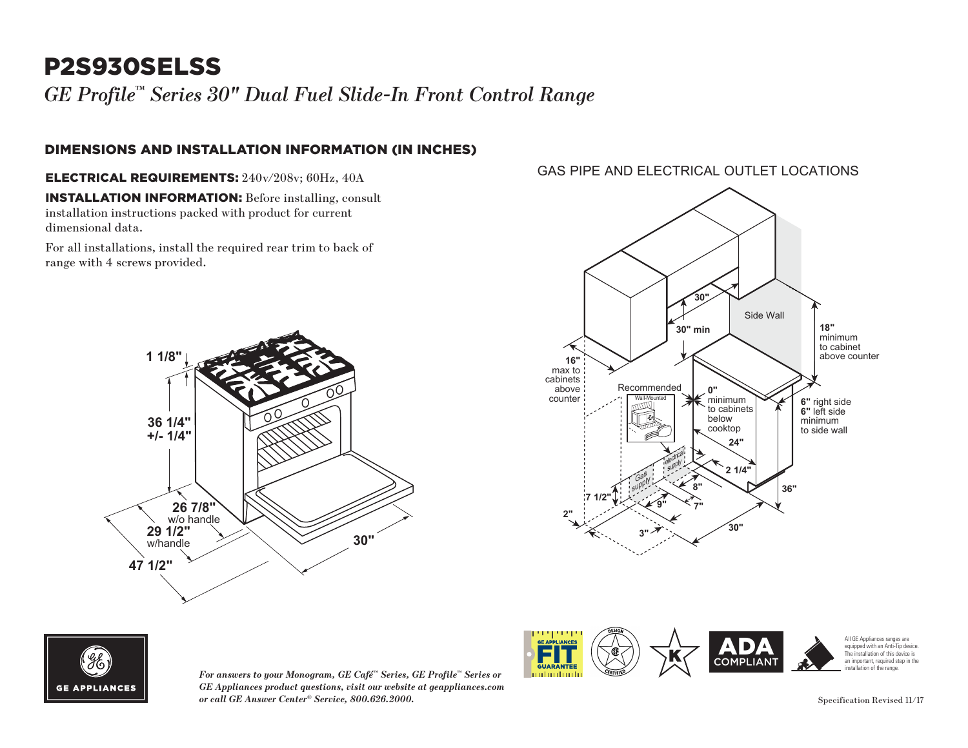# P2S930SELSS

*GE Profile™ Series 30" Dual Fuel Slide-In Front Control Range*

### DIMENSIONS AND INSTALLATION INFORMATION (IN INCHES)

ELECTRICAL REQUIREMENTS: 240v/208v; 60Hz, 40A **18"** minimum

INSTALLATION INFORMATION: Before installing, consult installation instructions packed with product for current dimensional data. CID 1 roj sec<br>
DIMENSIONS A<br>
ELECTRICAL RE<br>
INSTALLATION I<br>
installation instruct dimensional data.

For all installations, install the required rear trim to back of range with 4 screws provided.







*For answers to your Monogram, GE Café™ Series, GE Profile™ Series or GE Appliances product questions, visit our website at geappliances.com or call GE Answer Center® Service, 800.626.2000.*